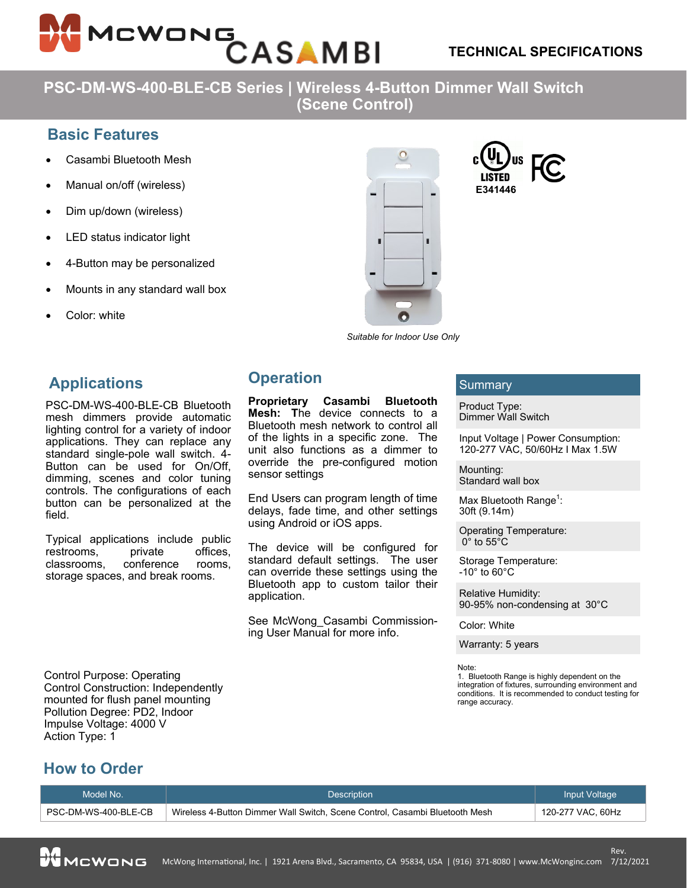

**PSC-DM-WS-400-BLE-CB Series | Wireless 4-Button Dimmer Wall Switch (Scene Control)**

## **Basic Features**

- Casambi Bluetooth Mesh
- Manual on/off (wireless)
- Dim up/down (wireless)
- LED status indicator light
- 4-Button may be personalized
- Mounts in any standard wall box
- Color: white

# **Applications**

PSC-DM-WS-400-BLE-CB Bluetooth mesh dimmers provide automatic lighting control for a variety of indoor applications. They can replace any standard single-pole wall switch. 4- Button can be used for On/Off, dimming, scenes and color tuning controls. The configurations of each button can be personalized at the field.

Typical applications include public restrooms, private offices,<br>classrooms, conference rooms. classrooms, conference rooms, storage spaces, and break rooms.

Control Purpose: Operating Control Construction: Independently mounted for flush panel mounting Pollution Degree: PD2, Indoor Impulse Voltage: 4000 V Action Type: 1

# п



# **Operation**

**Proprietary Casambi Bluetooth Mesh: T**he device connects to a Bluetooth mesh network to control all of the lights in a specific zone. The unit also functions as a dimmer to override the pre-configured motion sensor settings

End Users can program length of time delays, fade time, and other settings using Android or iOS apps.

The device will be configured for standard default settings. The user can override these settings using the Bluetooth app to custom tailor their application.

See McWong\_Casambi Commissioning User Manual for more info.

### Summary

**E341446**

Product Type: Dimmer Wall Switch

Input Voltage | Power Consumption: 120-277 VAC, 50/60Hz I Max 1.5W

Mounting: Standard wall box

Max Bluetooth Range<sup>1</sup>: 30ft (9.14m)

Operating Temperature:  $0^{\circ}$  to 55 $^{\circ}$ C

Storage Temperature:  $-10^\circ$  to 60 $^\circ$ C

Relative Humidity: 90-95% non-condensing at 30°C

Color: White

Warranty: 5 years

Note:

1. Bluetooth Range is highly dependent on the integration of fixtures, surrounding environment and conditions. It is recommended to conduct testing for range accuracy.

# **How to Order**

| Model No.            | <b>Description</b>                                                          | Input Voltage     |
|----------------------|-----------------------------------------------------------------------------|-------------------|
| PSC-DM-WS-400-BLE-CB | Wireless 4-Button Dimmer Wall Switch, Scene Control, Casambi Bluetooth Mesh | 120-277 VAC, 60Hz |